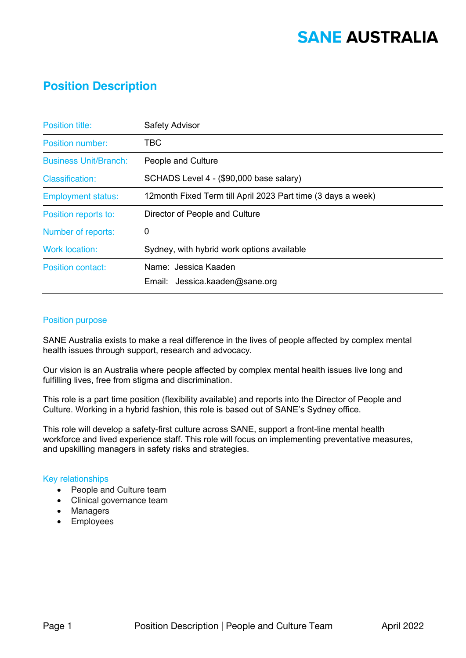## **SANE AUSTRALIA**

### **Position Description**

| <b>Position title:</b>       | <b>Safety Advisor</b>                                        |
|------------------------------|--------------------------------------------------------------|
| <b>Position number:</b>      | TBC                                                          |
| <b>Business Unit/Branch:</b> | People and Culture                                           |
| <b>Classification:</b>       | SCHADS Level 4 - (\$90,000 base salary)                      |
| <b>Employment status:</b>    | 12month Fixed Term till April 2023 Part time (3 days a week) |
| Position reports to:         | Director of People and Culture                               |
| Number of reports:           | 0                                                            |
| <b>Work location:</b>        | Sydney, with hybrid work options available                   |
| <b>Position contact:</b>     | Name: Jessica Kaaden                                         |
|                              | Email: Jessica.kaaden@sane.org                               |

#### Position purpose

SANE Australia exists to make a real difference in the lives of people affected by complex mental health issues through support, research and advocacy.

Our vision is an Australia where people affected by complex mental health issues live long and fulfilling lives, free from stigma and discrimination.

This role is a part time position (flexibility available) and reports into the Director of People and Culture. Working in a hybrid fashion, this role is based out of SANE's Sydney office.

This role will develop a safety-first culture across SANE, support a front-line mental health workforce and lived experience staff. This role will focus on implementing preventative measures, and upskilling managers in safety risks and strategies.

#### Key relationships

- People and Culture team
- Clinical governance team
- Managers
- Employees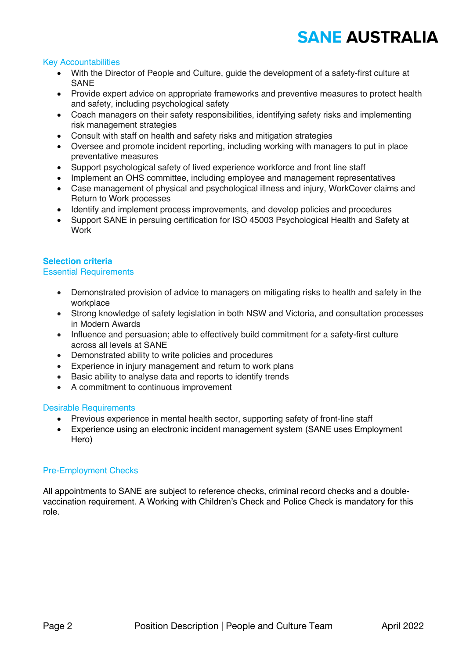# **SANE AUSTRALIA**

#### Key Accountabilities

- With the Director of People and Culture, guide the development of a safety-first culture at SANE
- Provide expert advice on appropriate frameworks and preventive measures to protect health and safety, including psychological safety
- Coach managers on their safety responsibilities, identifying safety risks and implementing risk management strategies
- Consult with staff on health and safety risks and mitigation strategies
- Oversee and promote incident reporting, including working with managers to put in place preventative measures
- Support psychological safety of lived experience workforce and front line staff
- Implement an OHS committee, including employee and management representatives
- Case management of physical and psychological illness and injury, WorkCover claims and Return to Work processes
- Identify and implement process improvements, and develop policies and procedures
- Support SANE in persuing certification for ISO 45003 Psychological Health and Safety at **Work**

#### **Selection criteria**

#### Essential Requirements

- Demonstrated provision of advice to managers on mitigating risks to health and safety in the workplace
- Strong knowledge of safety legislation in both NSW and Victoria, and consultation processes in Modern Awards
- Influence and persuasion; able to effectively build commitment for a safety-first culture across all levels at SANE
- Demonstrated ability to write policies and procedures
- Experience in injury management and return to work plans
- Basic ability to analyse data and reports to identify trends
- A commitment to continuous improvement

#### Desirable Requirements

- Previous experience in mental health sector, supporting safety of front-line staff
- Experience using an electronic incident management system (SANE uses Employment Hero)

#### Pre-Employment Checks

All appointments to SANE are subject to reference checks, criminal record checks and a doublevaccination requirement. A Working with Children's Check and Police Check is mandatory for this role.